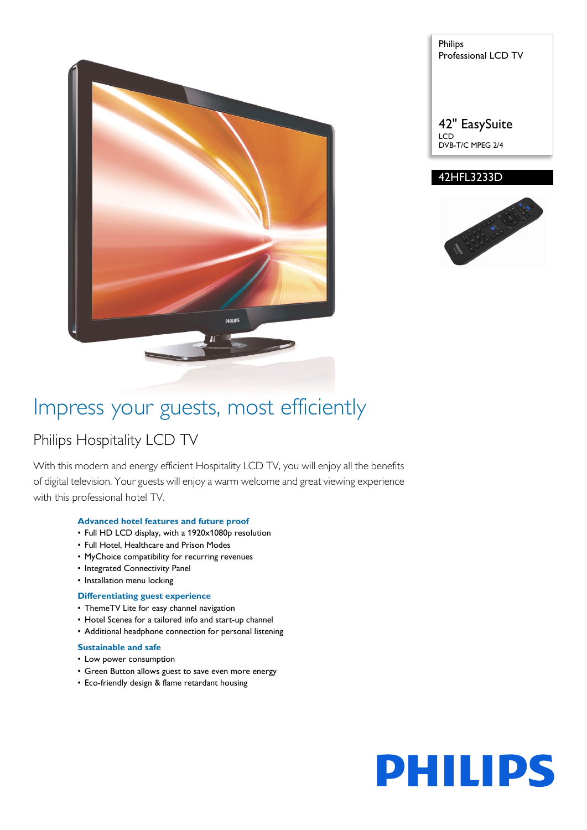

Philips Professional LCD TV

42" EasySuite LCD DVB-T/C MPEG 2/4

# 42HFL3233D



# Impress your guests, most efficiently

# Philips Hospitality LCD TV

With this modern and energy efficient Hospitality LCD TV, you will enjoy all the benefits of digital television. Your guests will enjoy a warm welcome and great viewing experience with this professional hotel TV.

# **Advanced hotel features and future proof**

- Full HD LCD display, with a 1920x1080p resolution
- Full Hotel, Healthcare and Prison Modes
- MyChoice compatibility for recurring revenues
- Integrated Connectivity Panel
- Installation menu locking

## **Differentiating guest experience**

- ThemeTV Lite for easy channel navigation
- Hotel Scenea for a tailored info and start-up channel
- Additional headphone connection for personal listening

#### **Sustainable and safe**

- Low power consumption
- Green Button allows guest to save even more energy
- Eco-friendly design & flame retardant housing

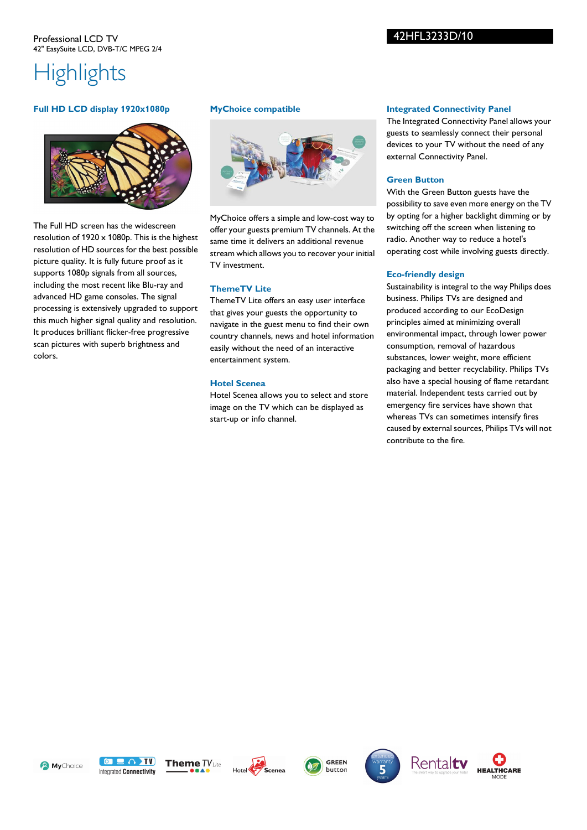# 42HFL3233D/10

# **Highlights**

## **Full HD LCD display 1920x1080p**



The Full HD screen has the widescreen resolution of  $1920 \times 1080$ <sub>p</sub>. This is the highest resolution of HD sources for the best possible picture quality. It is fully future proof as it supports 1080p signals from all sources, including the most recent like Blu-ray and advanced HD game consoles. The signal processing is extensively upgraded to support this much higher signal quality and resolution. It produces brilliant flicker-free progressive scan pictures with superb brightness and colors.

#### **MyChoice compatible**



MyChoice offers a simple and low-cost way to offer your guests premium TV channels. At the same time it delivers an additional revenue stream which allows you to recover your initial TV investment.

### **ThemeTV Lite**

ThemeTV Lite offers an easy user interface that gives your guests the opportunity to navigate in the guest menu to find their own country channels, news and hotel information easily without the need of an interactive entertainment system.

#### **Hotel Scenea**

Hotel Scenea allows you to select and store image on the TV which can be displayed as start-up or info channel.

#### **Integrated Connectivity Panel**

The Integrated Connectivity Panel allows your guests to seamlessly connect their personal devices to your TV without the need of any external Connectivity Panel.

#### **Green Button**

With the Green Button guests have the possibility to save even more energy on the TV by opting for a higher backlight dimming or by switching off the screen when listening to radio. Another way to reduce a hotel's operating cost while involving guests directly.

### **Eco-friendly design**

Sustainability is integral to the way Philips does business. Philips TVs are designed and produced according to our EcoDesign principles aimed at minimizing overall environmental impact, through lower power consumption, removal of hazardous substances, lower weight, more efficient packaging and better recyclability. Philips TVs also have a special housing of flame retardant material. Independent tests carried out by emergency fire services have shown that whereas TVs can sometimes intensify fires caused by external sources, Philips TVs will not contribute to the fire.